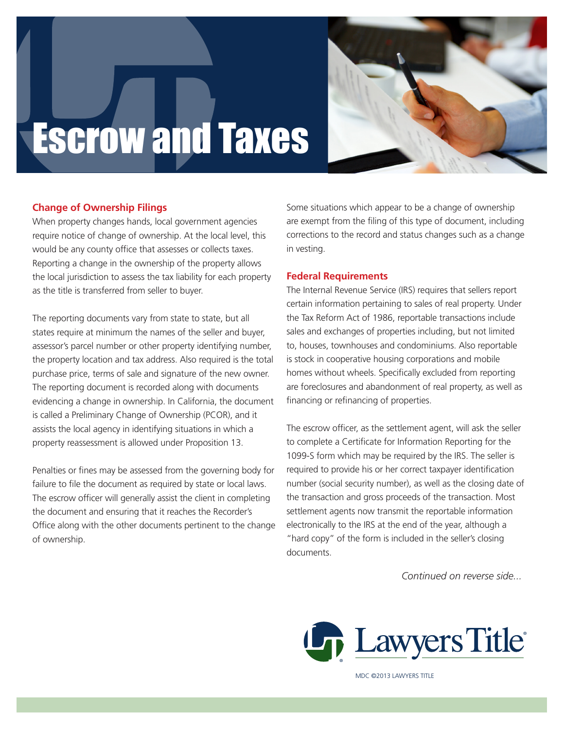

# Escrow and Taxes

# **Change of Ownership Filings**

When property changes hands, local government agencies require notice of change of ownership. At the local level, this would be any county office that assesses or collects taxes. Reporting a change in the ownership of the property allows the local jurisdiction to assess the tax liability for each property as the title is transferred from seller to buyer. promoter<br>Primeri<br>Primeri

The reporting documents vary from state to state, but all states require at minimum the names of the seller and buyer, assessor's parcel number or other property identifying number, the property location and tax address. Also required is the total purchase price, terms of sale and signature of the new owner. The reporting document is recorded along with documents evidencing a change in ownership. In California, the document is called a Preliminary Change of Ownership (PCOR), and it assists the local agency in identifying situations in which a property reassessment is allowed under Proposition 13.

Penalties or fines may be assessed from the governing body for failure to file the document as required by state or local laws. The escrow officer will generally assist the client in completing the document and ensuring that it reaches the Recorder's Office along with the other documents pertinent to the change of ownership.

Some situations which appear to be a change of ownership are exempt from the filing of this type of document, including corrections to the record and status changes such as a change in vesting.

### **Federal Requirements**

The Internal Revenue Service (IRS) requires that sellers report certain information pertaining to sales of real property. Under the Tax Reform Act of 1986, reportable transactions include sales and exchanges of properties including, but not limited to, houses, townhouses and condominiums. Also reportable is stock in cooperative housing corporations and mobile homes without wheels. Specifically excluded from reporting are foreclosures and abandonment of real property, as well as financing or refinancing of properties.

The escrow officer, as the settlement agent, will ask the seller to complete a Certificate for Information Reporting for the 1099-S form which may be required by the IRS. The seller is required to provide his or her correct taxpayer identification number (social security number), as well as the closing date of the transaction and gross proceeds of the transaction. Most settlement agents now transmit the reportable information electronically to the IRS at the end of the year, although a "hard copy" of the form is included in the seller's closing documents.

*Continued on reverse side...*



MDC ©2013 LAWYERS TITLE